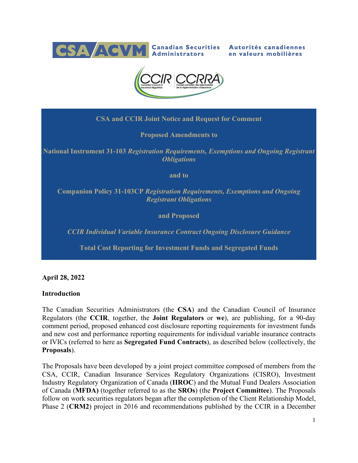

Autorités canadiennes en valeurs mobilières



**CSA and CCIR Joint Notice and Request for Comment**

**Proposed Amendments to**

**National Instrument 31-103** *Registration Requirements, Exemptions and Ongoing Registrant Obligations*

**and to**

**Companion Policy 31-103CP** *Registration Requirements, Exemptions and Ongoing Registrant Obligations*

**and Proposed**

*CCIR Individual Variable Insurance Contract Ongoing Disclosure Guidance*

**Total Cost Reporting for Investment Funds and Segregated Funds** 

**April 28, 2022**

#### **Introduction**

The Canadian Securities Administrators (the **CSA**) and the Canadian Council of Insurance Regulators (the **CCIR**, together, the **Joint Regulators** or **we**), are publishing, for a 90-day comment period, proposed enhanced cost disclosure reporting requirements for investment funds and new cost and performance reporting requirements for individual variable insurance contracts or IVICs (referred to here as **Segregated Fund Contracts**), as described below (collectively, the **Proposals**).

The Proposals have been developed by a joint project committee composed of members from the CSA, CCIR, Canadian Insurance Services Regulatory Organizations (CISRO), Investment Industry Regulatory Organization of Canada (**IIROC**) and the Mutual Fund Dealers Association of Canada (**MFDA)** (together referred to as the **SROs**) (the **Project Committee**). The Proposals follow on work securities regulators began after the completion of the Client Relationship Model, Phase 2 (**CRM2**) project in 2016 and recommendations published by the CCIR in a December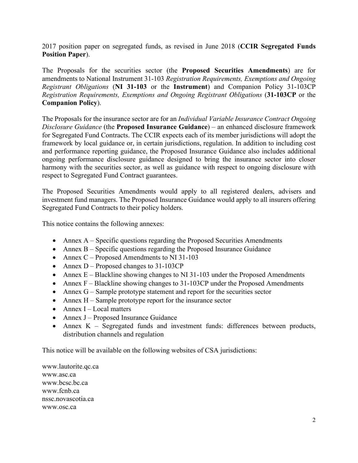2017 position paper on segregated funds, as revised in June 2018 (**CCIR Segregated Funds Position Paper**).

The Proposals for the securities sector (the **Proposed Securities Amendments**) are for amendments to National Instrument 31-103 *Registration Requirements, Exemptions and Ongoing Registrant Obligations* (**NI 31-103** or the **Instrument**) and Companion Policy 31-103CP *Registration Requirements, Exemptions and Ongoing Registrant Obligations* (**31-103CP** or the **Companion Policy**).

The Proposals for the insurance sector are for an *Individual Variable Insurance Contract Ongoing Disclosure Guidance* (the **Proposed Insurance Guidance**) – an enhanced disclosure framework for Segregated Fund Contracts. The CCIR expects each of its member jurisdictions will adopt the framework by local guidance or, in certain jurisdictions, regulation. In addition to including cost and performance reporting guidance, the Proposed Insurance Guidance also includes additional ongoing performance disclosure guidance designed to bring the insurance sector into closer harmony with the securities sector, as well as guidance with respect to ongoing disclosure with respect to Segregated Fund Contract guarantees.

The Proposed Securities Amendments would apply to all registered dealers, advisers and investment fund managers. The Proposed Insurance Guidance would apply to all insurers offering Segregated Fund Contracts to their policy holders.

This notice contains the following annexes:

- Annex A Specific questions regarding the Proposed Securities Amendments
- Annex B Specific questions regarding the Proposed Insurance Guidance
- Annex  $C -$  Proposed Amendments to NI 31-103
- Annex D Proposed changes to 31-103CP
- Annex E Blackline showing changes to NI 31-103 under the Proposed Amendments
- Annex  $F Blackline showing changes to 31-103CP under the Proposed Amendments$
- Annex G Sample prototype statement and report for the securities sector
- Annex  $H -$  Sample prototype report for the insurance sector
- Annex  $I Local$  matters
- Annex J Proposed Insurance Guidance
- Annex K Segregated funds and investment funds: differences between products, distribution channels and regulation

This notice will be available on the following websites of CSA jurisdictions:

www.lautorite.qc.ca www.asc.ca [www.bcsc.bc.ca](http://www.bcsc.bc.ca/) [www.fcnb.ca](http://www.fcnb.ca/) nssc.novascotia.ca www.osc.ca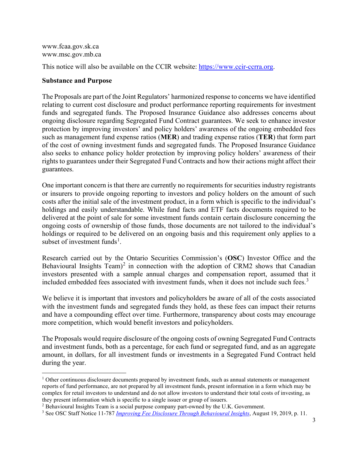[www.fcaa.gov.sk.ca](http://www.fcaa.gov.sk.ca/) www.msc.gov.mb.ca

This notice will also be available on the CCIR website: [https://www.ccir-ccrra.org.](https://www.ccir-ccrra.org/)

# **Substance and Purpose**

The Proposals are part of the Joint Regulators' harmonized response to concerns we have identified relating to current cost disclosure and product performance reporting requirements for investment funds and segregated funds. The Proposed Insurance Guidance also addresses concerns about ongoing disclosure regarding Segregated Fund Contract guarantees. We seek to enhance investor protection by improving investors' and policy holders' awareness of the ongoing embedded fees such as management fund expense ratios (**MER**) and trading expense ratios (**TER**) that form part of the cost of owning investment funds and segregated funds. The Proposed Insurance Guidance also seeks to enhance policy holder protection by improving policy holders' awareness of their rights to guarantees under their Segregated Fund Contracts and how their actions might affect their guarantees.

One important concern is that there are currently no requirements for securities industry registrants or insurers to provide ongoing reporting to investors and policy holders on the amount of such costs after the initial sale of the investment product, in a form which is specific to the individual's holdings and easily understandable. While fund facts and ETF facts documents required to be delivered at the point of sale for some investment funds contain certain disclosure concerning the ongoing costs of ownership of those funds, those documents are not tailored to the individual's holdings or required to be delivered on an ongoing basis and this requirement only applies to a subset of investment funds<sup>[1](#page-2-0)</sup>.

Research carried out by the Ontario Securities Commission's (**OSC**) Investor Office and the Behavioural Insights Team)<sup>[2](#page-2-1)</sup> in connection with the adoption of CRM2 shows that Canadian investors presented with a sample annual charges and compensation report, assumed that it included embedded fees associated with investment funds, when it does not include such fees.<sup>[3](#page-2-2)</sup>

We believe it is important that investors and policyholders be aware of all of the costs associated with the investment funds and segregated funds they hold, as these fees can impact their returns and have a compounding effect over time. Furthermore, transparency about costs may encourage more competition, which would benefit investors and policyholders.

The Proposals would require disclosure of the ongoing costs of owning Segregated Fund Contracts and investment funds, both as a percentage, for each fund or segregated fund, and as an aggregate amount, in dollars, for all investment funds or investments in a Segregated Fund Contract held during the year.

<span id="page-2-0"></span> $1$  Other continuous disclosure documents prepared by investment funds, such as annual statements or management reports of fund performance, are not prepared by all investment funds, present information in a form which may be complex for retail investors to understand and do not allow investors to understand their total costs of investing, as they present information which is specific to a single issuer or group of issuers.

<span id="page-2-1"></span><sup>&</sup>lt;sup>2</sup> Behavioural Insights Team is a social purpose company part-owned by the U.K. Government.

<span id="page-2-2"></span><sup>3</sup> See OSC Staff Notice 11-787 *[Improving Fee Disclosure Through Behavioural Insights](https://www.osc.ca/sites/default/files/pdfs/irps/sn_20190819_11-787_improving-fee-disclosure-through-behavioural-insights.pdf)*, August 19, 2019, p. 11.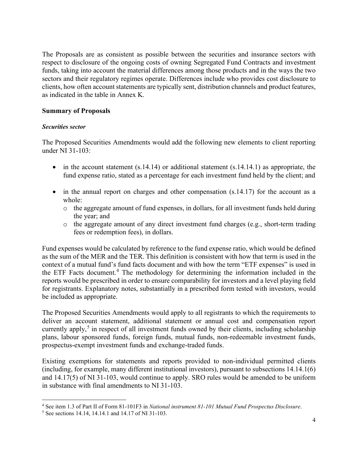The Proposals are as consistent as possible between the securities and insurance sectors with respect to disclosure of the ongoing costs of owning Segregated Fund Contracts and investment funds, taking into account the material differences among those products and in the ways the two sectors and their regulatory regimes operate. Differences include who provides cost disclosure to clients, how often account statements are typically sent, distribution channels and product features, as indicated in the table in Annex K.

# **Summary of Proposals**

## *Securities sector*

The Proposed Securities Amendments would add the following new elements to client reporting under NI 31-103:

- in the account statement  $(s.14.14)$  or additional statement  $(s.14.14.1)$  as appropriate, the fund expense ratio, stated as a percentage for each investment fund held by the client; and
- in the annual report on charges and other compensation (s.14.17) for the account as a whole:
	- $\circ$  the aggregate amount of fund expenses, in dollars, for all investment funds held during the year; and
	- o the aggregate amount of any direct investment fund charges (e.g., short-term trading fees or redemption fees), in dollars.

Fund expenses would be calculated by reference to the fund expense ratio, which would be defined as the sum of the MER and the TER. This definition is consistent with how that term is used in the context of a mutual fund's fund facts document and with how the term "ETF expenses" is used in the ETF Facts document. [4](#page-3-0) The methodology for determining the information included in the reports would be prescribed in order to ensure comparability for investors and a level playing field for registrants. Explanatory notes, substantially in a prescribed form tested with investors, would be included as appropriate.

The Proposed Securities Amendments would apply to all registrants to which the requirements to deliver an account statement, additional statement or annual cost and compensation report currently apply,<sup>[5](#page-3-1)</sup> in respect of all investment funds owned by their clients, including scholarship plans, labour sponsored funds, foreign funds, mutual funds, non-redeemable investment funds, prospectus-exempt investment funds and exchange-traded funds.

Existing exemptions for statements and reports provided to non-individual permitted clients (including, for example, many different institutional investors), pursuant to subsections 14.14.1(6) and 14.17(5) of NI 31-103, would continue to apply. SRO rules would be amended to be uniform in substance with final amendments to NI 31-103.

<span id="page-3-0"></span><sup>4</sup> See item 1.3 of Part II of Form 81-101F3 in *National instrument 81-101 Mutual Fund Prospectus Disclosure*.

<span id="page-3-1"></span><sup>5</sup> See sections 14.14, 14.14.1 and 14.17 of NI 31-103.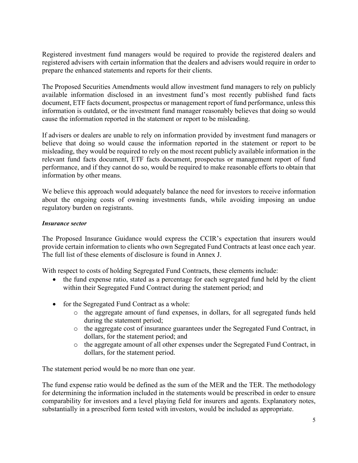Registered investment fund managers would be required to provide the registered dealers and registered advisers with certain information that the dealers and advisers would require in order to prepare the enhanced statements and reports for their clients.

The Proposed Securities Amendments would allow investment fund managers to rely on publicly available information disclosed in an investment fund's most recently published fund facts document, ETF facts document, prospectus or management report of fund performance, unless this information is outdated, or the investment fund manager reasonably believes that doing so would cause the information reported in the statement or report to be misleading.

If advisers or dealers are unable to rely on information provided by investment fund managers or believe that doing so would cause the information reported in the statement or report to be misleading, they would be required to rely on the most recent publicly available information in the relevant fund facts document, ETF facts document, prospectus or management report of fund performance, and if they cannot do so, would be required to make reasonable efforts to obtain that information by other means.

We believe this approach would adequately balance the need for investors to receive information about the ongoing costs of owning investments funds, while avoiding imposing an undue regulatory burden on registrants.

## *Insurance sector*

The Proposed Insurance Guidance would express the CCIR's expectation that insurers would provide certain information to clients who own Segregated Fund Contracts at least once each year. The full list of these elements of disclosure is found in Annex J.

With respect to costs of holding Segregated Fund Contracts, these elements include:

- the fund expense ratio, stated as a percentage for each segregated fund held by the client within their Segregated Fund Contract during the statement period; and
- for the Segregated Fund Contract as a whole:
	- o the aggregate amount of fund expenses, in dollars, for all segregated funds held during the statement period;
	- o the aggregate cost of insurance guarantees under the Segregated Fund Contract, in dollars, for the statement period; and
	- o the aggregate amount of all other expenses under the Segregated Fund Contract, in dollars, for the statement period.

The statement period would be no more than one year.

The fund expense ratio would be defined as the sum of the MER and the TER. The methodology for determining the information included in the statements would be prescribed in order to ensure comparability for investors and a level playing field for insurers and agents. Explanatory notes, substantially in a prescribed form tested with investors, would be included as appropriate.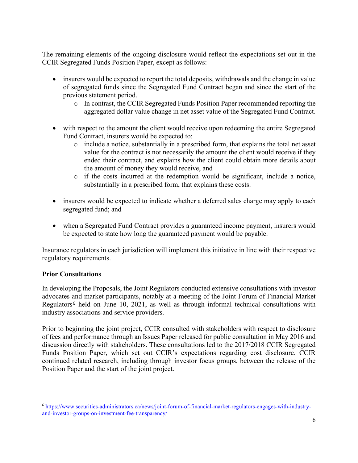The remaining elements of the ongoing disclosure would reflect the expectations set out in the CCIR Segregated Funds Position Paper, except as follows:

- insurers would be expected to report the total deposits, withdrawals and the change in value of segregated funds since the Segregated Fund Contract began and since the start of the previous statement period.
	- o In contrast, the CCIR Segregated Funds Position Paper recommended reporting the aggregated dollar value change in net asset value of the Segregated Fund Contract.
- with respect to the amount the client would receive upon redeeming the entire Segregated Fund Contract, insurers would be expected to:
	- o include a notice, substantially in a prescribed form, that explains the total net asset value for the contract is not necessarily the amount the client would receive if they ended their contract, and explains how the client could obtain more details about the amount of money they would receive, and
	- o if the costs incurred at the redemption would be significant, include a notice, substantially in a prescribed form, that explains these costs.
- insurers would be expected to indicate whether a deferred sales charge may apply to each segregated fund; and
- when a Segregated Fund Contract provides a guaranteed income payment, insurers would be expected to state how long the guaranteed payment would be payable.

Insurance regulators in each jurisdiction will implement this initiative in line with their respective regulatory requirements.

# **Prior Consultations**

In developing the Proposals, the Joint Regulators conducted extensive consultations with investor advocates and market participants, notably at a meeting of the Joint Forum of Financial Market Regulators<sup>[6](#page-5-0)</sup> held on June 10, 2021, as well as through informal technical consultations with industry associations and service providers.

Prior to beginning the joint project, CCIR consulted with stakeholders with respect to disclosure of fees and performance through an Issues Paper released for public consultation in May 2016 and discussion directly with stakeholders. These consultations led to the 2017/2018 CCIR Segregated Funds Position Paper, which set out CCIR's expectations regarding cost disclosure. CCIR continued related research, including through investor focus groups, between the release of the Position Paper and the start of the joint project.

<span id="page-5-0"></span><sup>6</sup> [https://www.securities-administrators.ca/news/joint-forum-of-financial-market-regulators-engages-with-industry](https://www.securities-administrators.ca/news/joint-forum-of-financial-market-regulators-engages-with-industry-and-investor-groups-on-investment-fee-transparency/))[and-investor-groups-on-investment-fee-transparency/](https://www.securities-administrators.ca/news/joint-forum-of-financial-market-regulators-engages-with-industry-and-investor-groups-on-investment-fee-transparency/))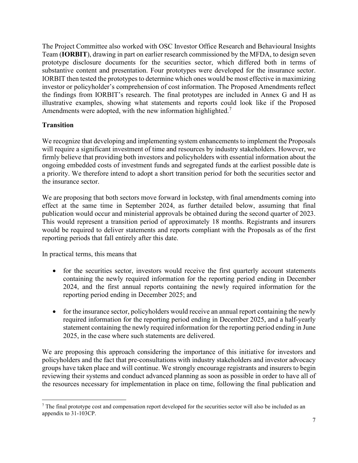The Project Committee also worked with OSC Investor Office Research and Behavioural Insights Team (**IORBIT**), drawing in part on earlier research commissioned by the MFDA, to design seven prototype disclosure documents for the securities sector, which differed both in terms of substantive content and presentation. Four prototypes were developed for the insurance sector. IORBIT then tested the prototypes to determine which ones would be most effective in maximizing investor or policyholder's comprehension of cost information. The Proposed Amendments reflect the findings from IORBIT's research. The final prototypes are included in Annex G and H as illustrative examples, showing what statements and reports could look like if the Proposed Amendments were adopted, with the new information highlighted.<sup>[7](#page-6-0)</sup>

# **Transition**

We recognize that developing and implementing system enhancements to implement the Proposals will require a significant investment of time and resources by industry stakeholders. However, we firmly believe that providing both investors and policyholders with essential information about the ongoing embedded costs of investment funds and segregated funds at the earliest possible date is a priority. We therefore intend to adopt a short transition period for both the securities sector and the insurance sector.

We are proposing that both sectors move forward in lockstep, with final amendments coming into effect at the same time in September 2024, as further detailed below, assuming that final publication would occur and ministerial approvals be obtained during the second quarter of 2023. This would represent a transition period of approximately 18 months. Registrants and insurers would be required to deliver statements and reports compliant with the Proposals as of the first reporting periods that fall entirely after this date.

In practical terms, this means that

- for the securities sector, investors would receive the first quarterly account statements containing the newly required information for the reporting period ending in December 2024, and the first annual reports containing the newly required information for the reporting period ending in December 2025; and
- for the insurance sector, policyholders would receive an annual report containing the newly required information for the reporting period ending in December 2025, and a half-yearly statement containing the newly required information for the reporting period ending in June 2025, in the case where such statements are delivered.

We are proposing this approach considering the importance of this initiative for investors and policyholders and the fact that pre-consultations with industry stakeholders and investor advocacy groups have taken place and will continue. We strongly encourage registrants and insurers to begin reviewing their systems and conduct advanced planning as soon as possible in order to have all of the resources necessary for implementation in place on time, following the final publication and

<span id="page-6-0"></span> $<sup>7</sup>$  The final prototype cost and compensation report developed for the securities sector will also be included as an</sup> appendix to 31-103CP.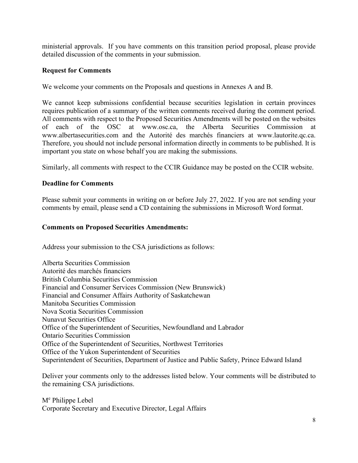ministerial approvals. If you have comments on this transition period proposal, please provide detailed discussion of the comments in your submission.

# **Request for Comments**

We welcome your comments on the Proposals and questions in Annexes A and B.

We cannot keep submissions confidential because securities legislation in certain provinces requires publication of a summary of the written comments received during the comment period. All comments with respect to the Proposed Securities Amendments will be posted on the websites of each of the OSC at www.osc.ca, the Alberta Securities Commission at www.albertasecurities.com and the Autorité des marchés financiers at www.lautorite.qc.ca. Therefore, you should not include personal information directly in comments to be published. It is important you state on whose behalf you are making the submissions.

Similarly, all comments with respect to the CCIR Guidance may be posted on the CCIR website.

## **Deadline for Comments**

Please submit your comments in writing on or before July 27, 2022. If you are not sending your comments by email, please send a CD containing the submissions in Microsoft Word format.

## **Comments on Proposed Securities Amendments:**

Address your submission to the CSA jurisdictions as follows:

Alberta Securities Commission Autorité des marchés financiers British Columbia Securities Commission Financial and Consumer Services Commission (New Brunswick) Financial and Consumer Affairs Authority of Saskatchewan Manitoba Securities Commission Nova Scotia Securities Commission Nunavut Securities Office Office of the Superintendent of Securities, Newfoundland and Labrador Ontario Securities Commission Office of the Superintendent of Securities, Northwest Territories Office of the Yukon Superintendent of Securities Superintendent of Securities, Department of Justice and Public Safety, Prince Edward Island

Deliver your comments only to the addresses listed below. Your comments will be distributed to the remaining CSA jurisdictions.

M<sup>e</sup> Philippe Lebel Corporate Secretary and Executive Director, Legal Affairs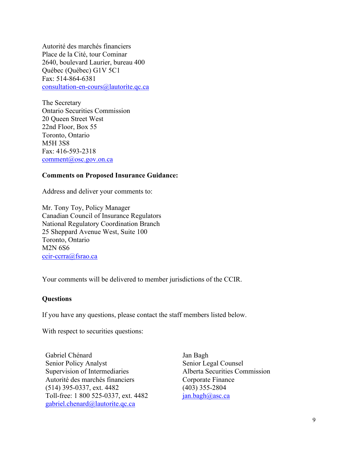Autorité des marchés financiers Place de la Cité, tour Cominar 2640, boulevard Laurier, bureau 400 Québec (Québec) G1V 5C1 Fax: 514-864-6381 [consultation-en-cours@lautorite.qc.ca](mailto:consultation-en-cours@lautorite.qc.ca)

The Secretary Ontario Securities Commission 20 Queen Street West 22nd Floor, Box 55 Toronto, Ontario M5H 3S8 Fax: 416-593-2318 [comment@osc.gov.on.ca](mailto:comment@osc.gov.on.ca)

### **Comments on Proposed Insurance Guidance:**

Address and deliver your comments to:

Mr. Tony Toy, Policy Manager Canadian Council of Insurance Regulators National Regulatory Coordination Branch 25 Sheppard Avenue West, Suite 100 Toronto, Ontario M2N 6S6 [ccir-ccrra@fsrao.ca](mailto:ccir-ccrra@fsrao.ca)

Your comments will be delivered to member jurisdictions of the CCIR.

### **Questions**

If you have any questions, please contact the staff members listed below.

With respect to securities questions:

Gabriel Chénard Senior Policy Analyst Supervision of Intermediaries Autorité des marchés financiers (514) 395-0337, ext. 4482 Toll-free: 1 800 525-0337, ext. 4482 gabriel.chenard@lautorite.qc.ca

Jan Bagh Senior Legal Counsel Alberta Securities Commission Corporate Finance (403) 355-2804 [jan.bagh@asc.ca](mailto:jan.bagh@asc.ca)